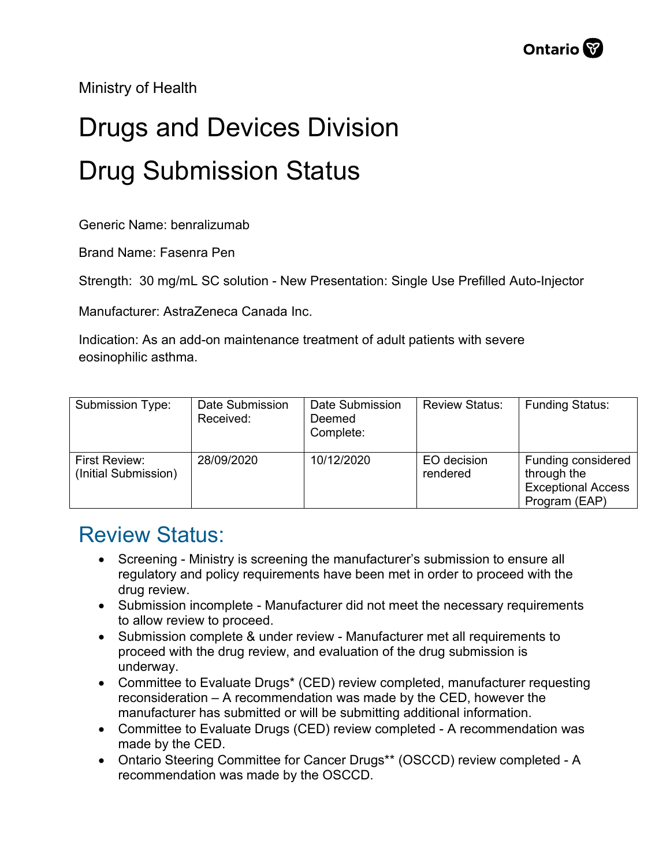Ministry of Health

## Drugs and Devices Division Drug Submission Status

Generic Name: benralizumab

Brand Name: Fasenra Pen

Strength: 30 mg/mL SC solution - New Presentation: Single Use Prefilled Auto-Injector

Manufacturer: AstraZeneca Canada Inc.

Indication: As an add-on maintenance treatment of adult patients with severe eosinophilic asthma.

| Submission Type:                      | Date Submission<br>Received: | Date Submission<br>Deemed<br>Complete: | <b>Review Status:</b>   | <b>Funding Status:</b>                                                          |
|---------------------------------------|------------------------------|----------------------------------------|-------------------------|---------------------------------------------------------------------------------|
| First Review:<br>(Initial Submission) | 28/09/2020                   | 10/12/2020                             | EO decision<br>rendered | Funding considered<br>through the<br><b>Exceptional Access</b><br>Program (EAP) |

## Review Status:

- Screening Ministry is screening the manufacturer's submission to ensure all regulatory and policy requirements have been met in order to proceed with the drug review.
- Submission incomplete Manufacturer did not meet the necessary requirements to allow review to proceed.
- Submission complete & under review Manufacturer met all requirements to proceed with the drug review, and evaluation of the drug submission is underway.
- Committee to Evaluate Drugs\* (CED) review completed, manufacturer requesting reconsideration – A recommendation was made by the CED, however the manufacturer has submitted or will be submitting additional information.
- Committee to Evaluate Drugs (CED) review completed A recommendation was made by the CED.
- Ontario Steering Committee for Cancer Drugs\*\* (OSCCD) review completed A recommendation was made by the OSCCD.